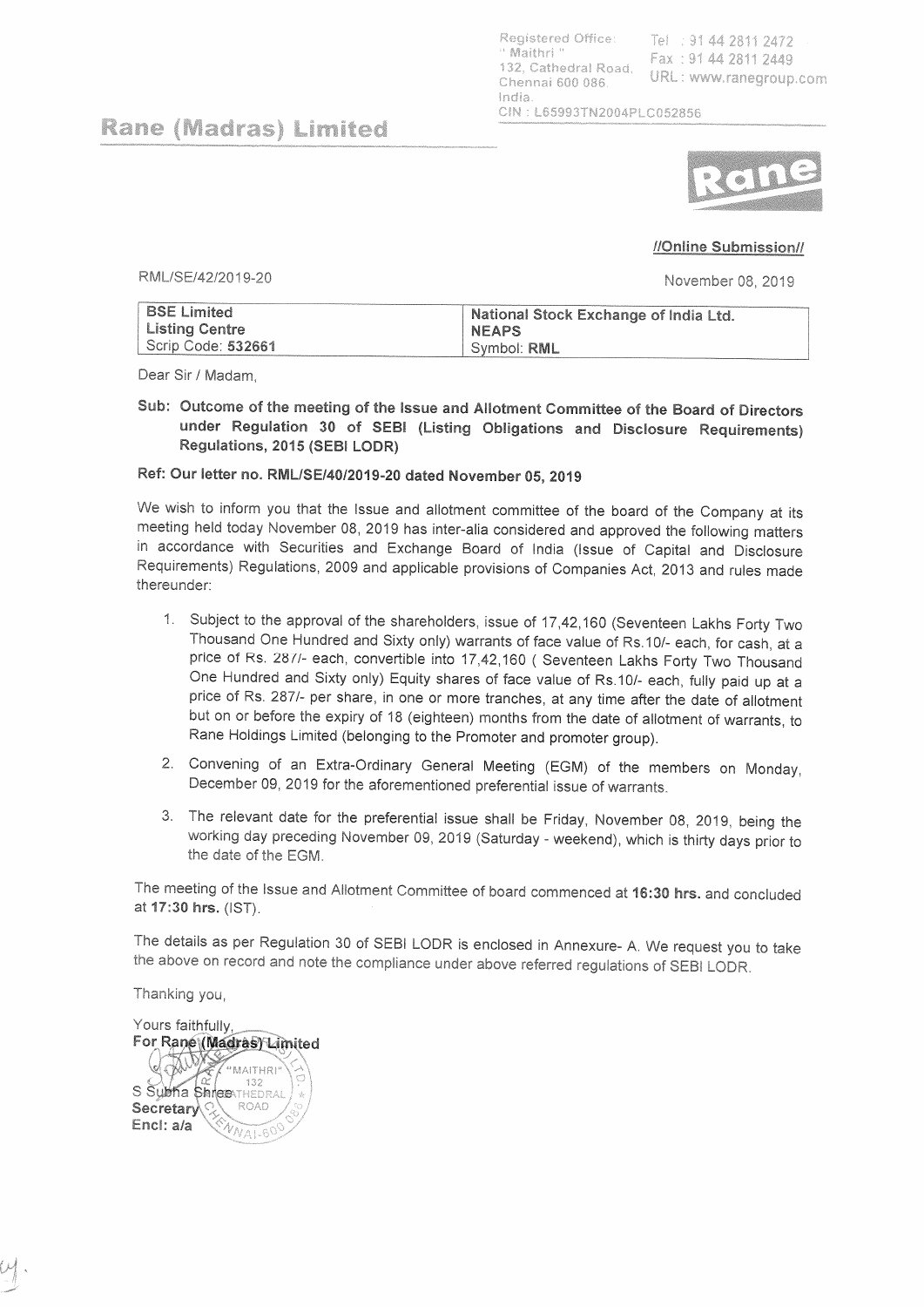Registered Office: Tel: 91 44 2811 2472 Maithri<sup>1</sup> Fax: 91 44 2811 2449 132, Cathedral Road, URL: www.ranegroup.com Chennai 600 086. India CIN: L65993TN2004PLC052856

Rane (Madras) Limited



## //Online Submission//

RML/SE/42/2019-20

November 08, 2019

| <b>BSE Limited</b> | <b>National Stock Exchange of India Ltd.</b> |
|--------------------|----------------------------------------------|
| Listing Centre     | <b>NEAPS</b>                                 |
| Scrip Code: 532661 | ' Symbol: <b>RML</b>                         |

Dear Sir / Madam.

Sub: Outcome of the meeting of the Issue and Allotment Committee of the Board of Directors under Regulation 30 of SEBI (Listing Obligations and Disclosure Requirements) Regulations, 2015 (SEBI LODR)

## Ref: Our letter no. RML/SE/40/2019-20 dated November 05, 2019

We wish to inform you that the Issue and allotment committee of the board of the Company at its meeting held today November 08, 2019 has inter-alia considered and approved the following matters in accordance with Securities and Exchange Board of India (Issue of Capital and Disclosure Requirements) Regulations, 2009 and applicable provisions of Companies Act, 2013 and rules made thereunder:

- 1. Subject to the approval of the shareholders, issue of 17,42,160 (Seventeen Lakhs Forty Two Thousand One Hundred and Sixty only) warrants of face value of Rs.10/- each, for cash, at a price of Rs. 287/- each, convertible into 17,42,160 (Seventeen Lakhs Forty Two Thousand One Hundred and Sixty only) Equity shares of face value of Rs.10/- each, fully paid up at a price of Rs. 287/- per share, in one or more tranches, at any time after the date of allotment but on or before the expiry of 18 (eighteen) months from the date of allotment of warrants, to Rane Holdings Limited (belonging to the Promoter and promoter group).
- 2. Convening of an Extra-Ordinary General Meeting (EGM) of the members on Monday, December 09, 2019 for the aforementioned preferential issue of warrants.
- 3. The relevant date for the preferential issue shall be Friday, November 08, 2019, being the working day preceding November 09, 2019 (Saturday - weekend), which is thirty days prior to the date of the EGM.

The meeting of the Issue and Allotment Committee of board commenced at 16:30 hrs. and concluded at 17:30 hrs. (IST).

The details as per Regulation 30 of SEBI LODR is enclosed in Annexure- A. We request you to take the above on record and note the compliance under above referred regulations of SEBI LODR.

Thanking you,

Yours faithfully For Rane (Madras) Limited **AUD** "MAITHRI 132 S Subha ShreeNTHEDRAL ROAD Secretary Encl: a/a